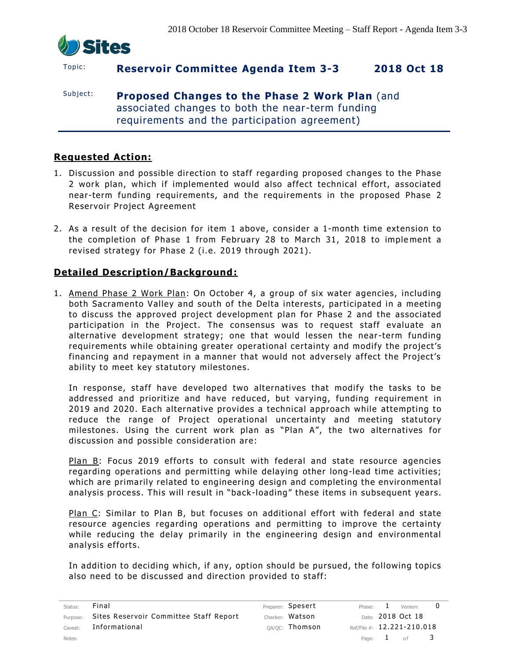

# Topic: **Reservoir Committee Agenda Item 3-3 2018 Oct 18**

Subject: **Proposed Changes to the Phase 2 Work Plan** (and associated changes to both the near-term funding requirements and the participation agreement)

# **Requested Action:**

- 1. Discussion and possible direction to staff regarding proposed changes to the Phase 2 work plan, which if implemented would also affect technical effort, associated near-term funding requirements, and the requirements in the proposed Phase 2 Reservoir Project Agreement
- 2. As a result of the decision for item 1 above, consider a 1-month time extension to the completion of Phase 1 from February 28 to March 31, 2018 to implement a revised strategy for Phase 2 (i.e. 2019 through 2021).

### **Detailed Description/Background:**

1. Amend Phase 2 Work Plan: On October 4, a group of six water agencies, including both Sacramento Valley and south of the Delta interests, participated in a meeting to discuss the approved project development plan for Phase 2 and the associated participation in the Project. The consensus was to request staff evaluate an alternative development strategy; one that would lessen the near-term funding requirements while obtaining greater operational certainty and modify the project's financing and repayment in a manner that would not adversely affect the Project's ability to meet key statutory milestones.

In response, staff have developed two alternatives that modify the tasks to be addressed and prioritize and have reduced, but varying, funding requirement in 2019 and 2020. Each alternative provides a technical approach while attempting to reduce the range of Project operational uncertainty and meeting statutory milestones. Using the current work plan as "Plan A", the two alternatives for discussion and possible consideration are:

Plan B: Focus 2019 efforts to consult with federal and state resource agencies regarding operations and permitting while delaying other long-lead time activities; which are primarily related to engineering design and completing the environmental analysis process. This will result in "back -loading" these items in subsequent years.

Plan C: Similar to Plan B, but focuses on additional effort with federal and state resource agencies regarding operations and permitting to improve the certainty while reducing the delay primarily in the engineering design and environmental analysis efforts.

In addition to deciding which, if any, option should be pursued, the following topics also need to be discussed and direction provided to staff:

| Status: | Final                                           | Preparer: Spesert | Phase: $1$   | Version:                       |     |
|---------|-------------------------------------------------|-------------------|--------------|--------------------------------|-----|
|         | Purpose: Sites Reservoir Committee Staff Report | Checker: Watson   |              | Date: 2018 Oct 18              |     |
| Caveat: | Informational                                   | QA/QC: Thomson    |              | Ref/File #: $12.221 - 210.018$ |     |
| Notes:  |                                                 |                   | Page: $1$ of |                                | - 3 |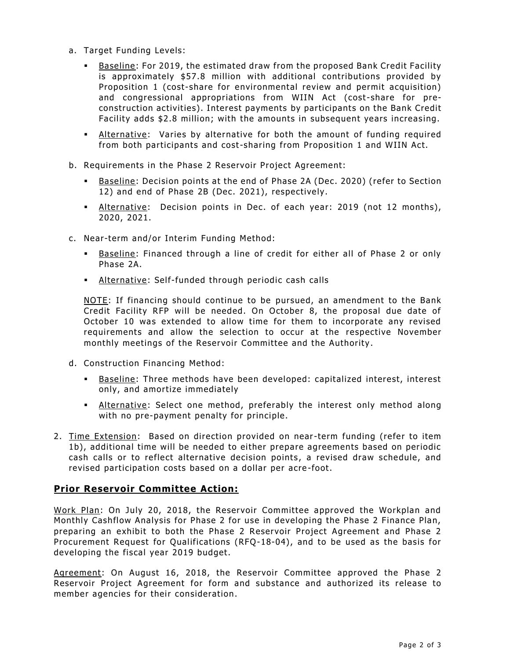- a. Target Funding Levels:
	- Baseline: For 2019, the estimated draw from the proposed Bank Credit Facility is approximately \$57.8 million with additional contributions provided by Proposition 1 (cost-share for environmental review and permit acquisition) and congressional appropriations from WIIN Act (cost-share for preconstruction activities). Interest payments by participants on the Bank Credit Facility adds \$2.8 million; with the amounts in subsequent years increasing.
	- **EXALTER 1** Alternative: Varies by alternative for both the amount of funding required from both participants and cost-sharing from Proposition 1 and WIIN Act.
- b. Requirements in the Phase 2 Reservoir Project Agreement:
	- Baseline: Decision points at the end of Phase 2A (Dec. 2020) (refer to Section 12) and end of Phase 2B (Dec. 2021), respectively.
	- Alternative: Decision points in Dec. of each year: 2019 (not 12 months), 2020, 2021.
- c. Near-term and/or Interim Funding Method:
	- Baseline: Financed through a line of credit for either all of Phase 2 or only Phase 2A.
	- **EXECT:** Alternative: Self-funded through periodic cash calls

NOTE: If financing should continue to be pursued, an amendment to the Bank Credit Facility RFP will be needed. On October 8, the proposal due date of October 10 was extended to allow time for them to incorporate any revised requirements and allow the selection to occur at the respective November monthly meetings of the Reservoir Committee and the Authority .

- d. Construction Financing Method:
	- Baseline: Three methods have been developed: capitalized interest, interest only, and amortize immediately
	- **EXECTE Alternative:** Select one method, preferably the interest only method along with no pre-payment penalty for principle.
- 2. Time Extension: Based on direction provided on near-term funding (refer to item 1b), additional time will be needed to either prepare agreements based on periodic cash calls or to reflect alternative decision points, a revised draw schedule, and revised participation costs based on a dollar per acre -foot.

#### **Prior Reservoir Committee Action:**

Work Plan: On July 20, 2018, the Reservoir Committee approved the Workplan and Monthly Cashflow Analysis for Phase 2 for use in developing the Phase 2 Finance Plan, preparing an exhibit to both the Phase 2 Reservoir Project Agreement and Phase 2 Procurement Request for Qualifications (RFQ-18-04), and to be used as the basis for developing the fiscal year 2019 budget.

Agreement: On August 16, 2018, the Reservoir Committee approved the Phase 2 Reservoir Project Agreement for form and substance and authorized its release to member agencies for their consideration.